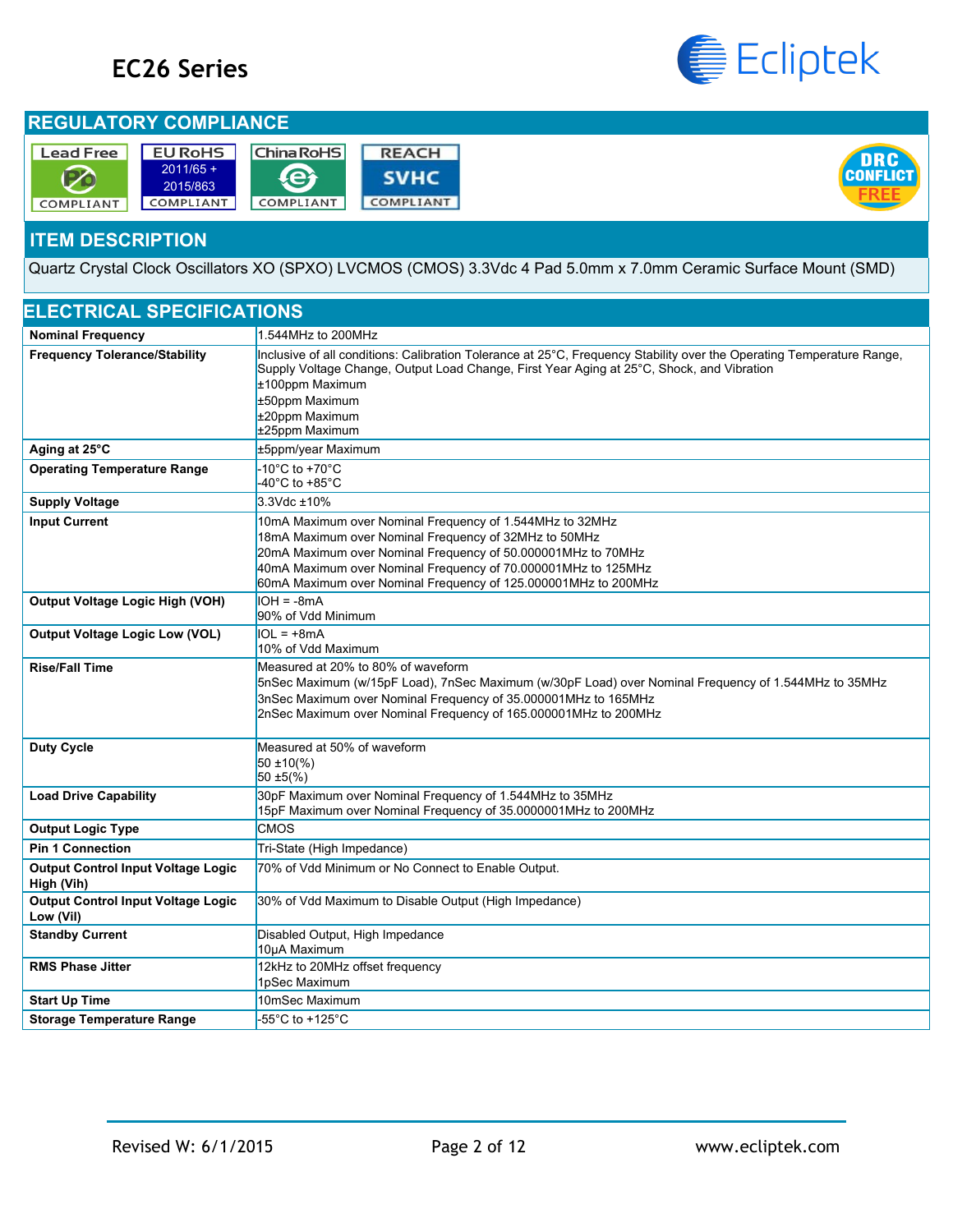# **EC26 Series**



#### **REGULATORY COMPLIANCE**

| <b>Lead Free</b> | <b>EU RoHS</b>          | <b>China RoHS</b> | <b>REACH</b> |
|------------------|-------------------------|-------------------|--------------|
|                  | $2011/65 +$<br>2015/863 |                   | <b>SVHC</b>  |
| COMPLIANT        | COMPLIANT               | COMPLIANT         | COMPLIANT    |



#### **ITEM DESCRIPTION**

Quartz Crystal Clock Oscillators XO (SPXO) LVCMOS (CMOS) 3.3Vdc 4 Pad 5.0mm x 7.0mm Ceramic Surface Mount (SMD)

| <b>ELECTRICAL SPECIFICATIONS</b>                        |                                                                                                                                                                                                                                                                                                                      |
|---------------------------------------------------------|----------------------------------------------------------------------------------------------------------------------------------------------------------------------------------------------------------------------------------------------------------------------------------------------------------------------|
| <b>Nominal Frequency</b>                                | 1.544MHz to 200MHz                                                                                                                                                                                                                                                                                                   |
| <b>Frequency Tolerance/Stability</b>                    | Inclusive of all conditions: Calibration Tolerance at 25°C, Frequency Stability over the Operating Temperature Range,<br>Supply Voltage Change, Output Load Change, First Year Aging at 25°C, Shock, and Vibration<br>±100ppm Maximum<br>±50ppm Maximum<br>±20ppm Maximum<br>±25ppm Maximum                          |
| Aging at 25°C                                           | ±5ppm/year Maximum                                                                                                                                                                                                                                                                                                   |
| <b>Operating Temperature Range</b>                      | -10 $^{\circ}$ C to +70 $^{\circ}$ C<br>-40°C to +85°C                                                                                                                                                                                                                                                               |
| <b>Supply Voltage</b>                                   | 3.3Vdc ±10%                                                                                                                                                                                                                                                                                                          |
| <b>Input Current</b>                                    | 10mA Maximum over Nominal Frequency of 1.544MHz to 32MHz<br>18mA Maximum over Nominal Frequency of 32MHz to 50MHz<br>20mA Maximum over Nominal Frequency of 50.000001MHz to 70MHz<br>40mA Maximum over Nominal Frequency of 70.000001MHz to 125MHz<br>60mA Maximum over Nominal Frequency of 125.000001MHz to 200MHz |
| <b>Output Voltage Logic High (VOH)</b>                  | $IOH = -8mA$<br>90% of Vdd Minimum                                                                                                                                                                                                                                                                                   |
| <b>Output Voltage Logic Low (VOL)</b>                   | $IOL = +8mA$<br>10% of Vdd Maximum                                                                                                                                                                                                                                                                                   |
| <b>Rise/Fall Time</b>                                   | Measured at 20% to 80% of waveform<br>5nSec Maximum (w/15pF Load), 7nSec Maximum (w/30pF Load) over Nominal Frequency of 1.544MHz to 35MHz<br>3nSec Maximum over Nominal Frequency of 35.000001MHz to 165MHz<br>2nSec Maximum over Nominal Frequency of 165.000001MHz to 200MHz                                      |
| <b>Duty Cycle</b>                                       | Measured at 50% of waveform<br>$50 \pm 10\frac{1}{2}$<br>$50 \pm 5(\frac{6}{6})$                                                                                                                                                                                                                                     |
| <b>Load Drive Capability</b>                            | 30pF Maximum over Nominal Frequency of 1.544MHz to 35MHz<br>15pF Maximum over Nominal Frequency of 35.0000001MHz to 200MHz                                                                                                                                                                                           |
| <b>Output Logic Type</b>                                | <b>CMOS</b>                                                                                                                                                                                                                                                                                                          |
| <b>Pin 1 Connection</b>                                 | Tri-State (High Impedance)                                                                                                                                                                                                                                                                                           |
| <b>Output Control Input Voltage Logic</b><br>High (Vih) | 70% of Vdd Minimum or No Connect to Enable Output.                                                                                                                                                                                                                                                                   |
| <b>Output Control Input Voltage Logic</b><br>Low (Vil)  | 30% of Vdd Maximum to Disable Output (High Impedance)                                                                                                                                                                                                                                                                |
| <b>Standby Current</b>                                  | Disabled Output, High Impedance<br>10µA Maximum                                                                                                                                                                                                                                                                      |
| <b>RMS Phase Jitter</b>                                 | 12kHz to 20MHz offset frequency<br>1pSec Maximum                                                                                                                                                                                                                                                                     |
| <b>Start Up Time</b>                                    | 10mSec Maximum                                                                                                                                                                                                                                                                                                       |
| <b>Storage Temperature Range</b>                        | -55°C to +125°C                                                                                                                                                                                                                                                                                                      |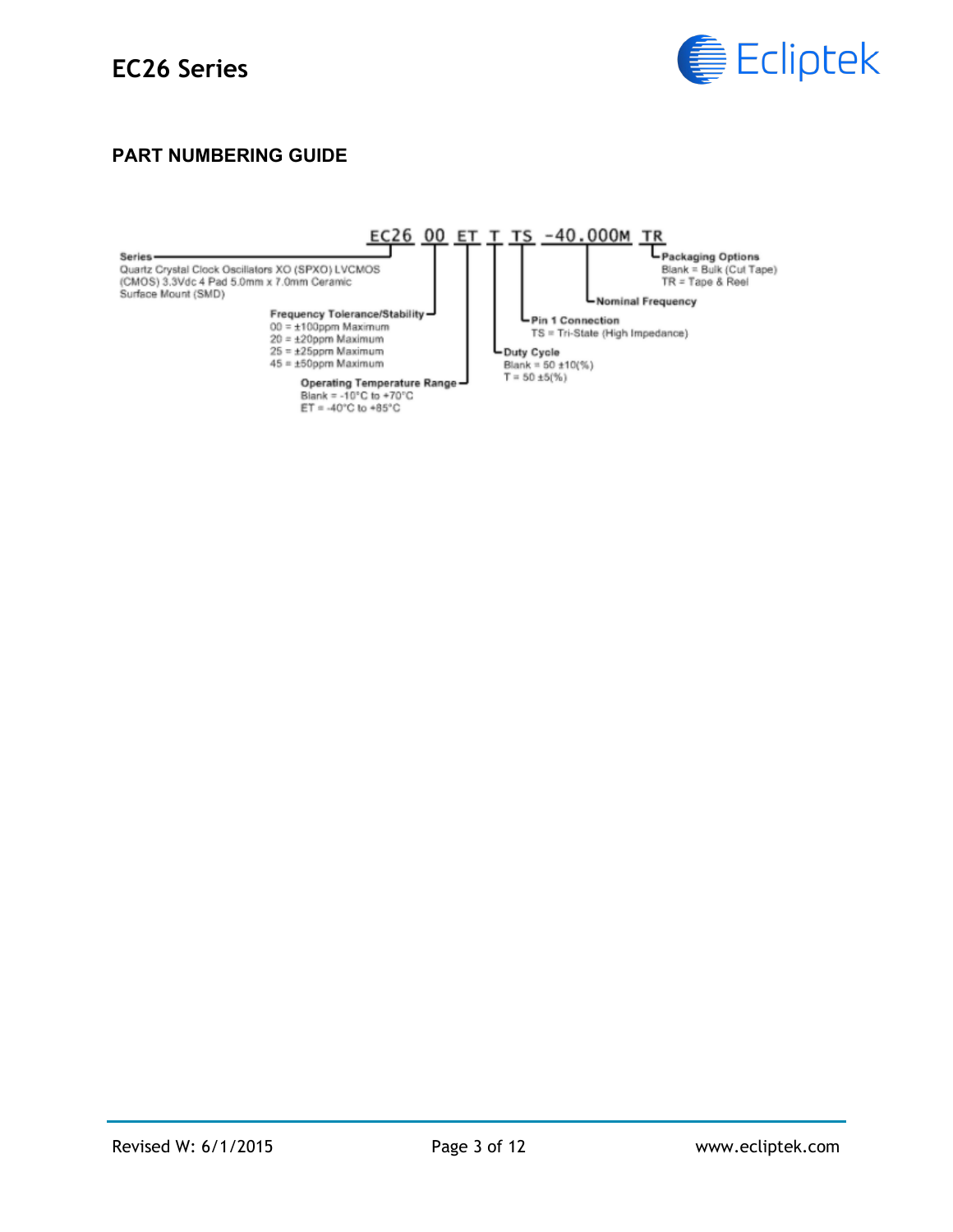

#### **PART NUMBERING GUIDE**

Series-Quartz Crystal Clock Oscillators XO (SPXO) LVCMOS (CMOS) 3.3Vdc 4 Pad 5.0mm x 7.0mm Ceramic<br>Surface Mount (SMD)

Frequency Tolerance/Stability<br>00 = ±100ppm Maximum<br>20 = ±20ppm Maximum<br>25 = ±25ppm Maximum<br>45 = ±50ppm Maximum

- 
- 
- 
- 

Operating Temperature Range<br>Blank = -10°C to +70°C<br>ET = -40°C to +85°C

EC26 00 ET T TS -40.000M TR Fackaging Options<br>Blank = Bulk (Cut Tape)<br>TR = Tape & Reel

Nominal Frequency

Pin 1 Connection TS = Tri-State (High Impedance)

Duty Cycle Blank = 50 ±10(%)<br>T = 50 ±5(%)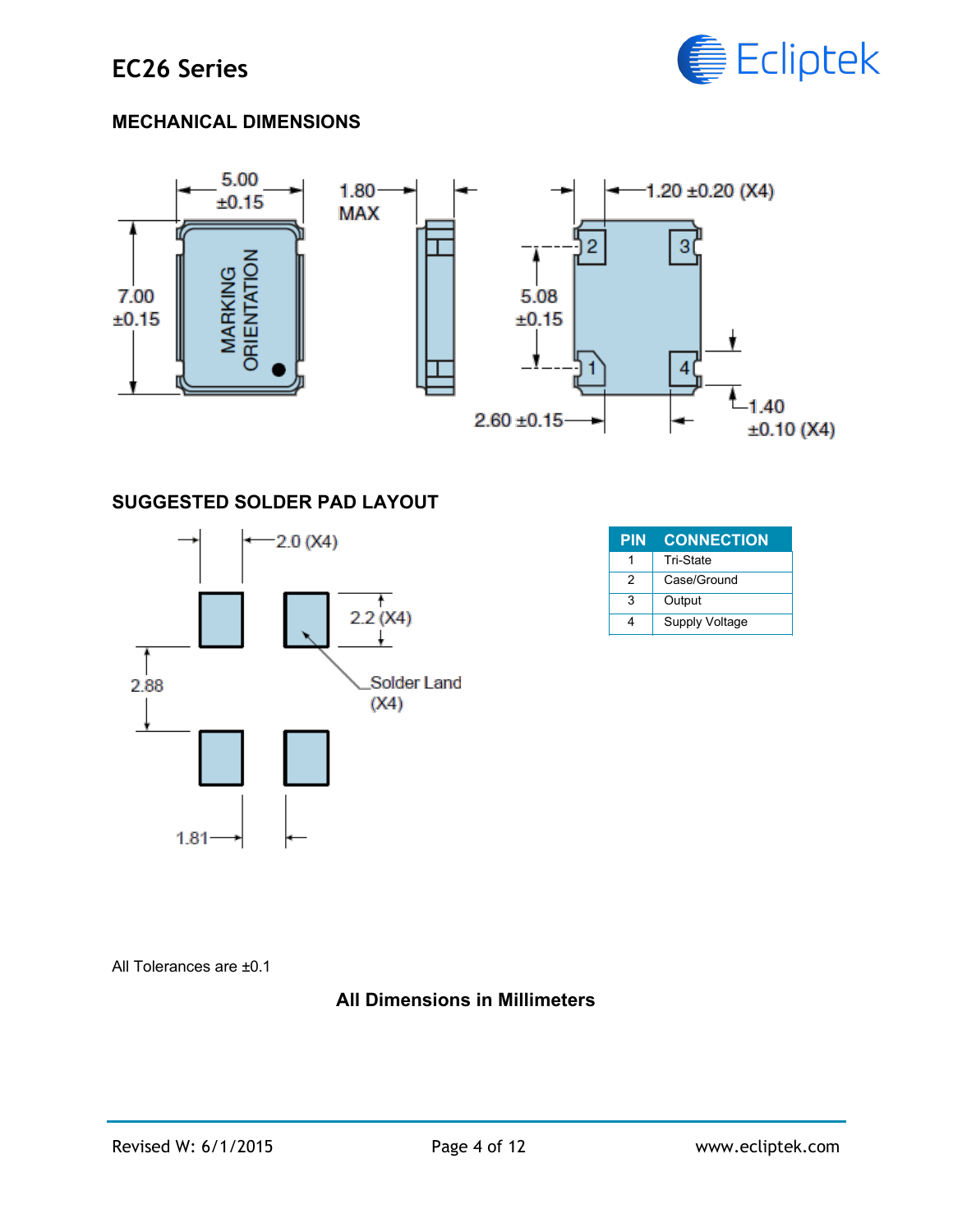

## **MECHANICAL DIMENSIONS**



#### **SUGGESTED SOLDER PAD LAYOUT**



| <b>PIN</b>    | <b>CONNECTION</b>     |
|---------------|-----------------------|
|               | Tri-State             |
| $\mathcal{P}$ | Case/Ground           |
| 3             | Output                |
|               | <b>Supply Voltage</b> |

All Tolerances are ±0.1

#### **All Dimensions in Millimeters**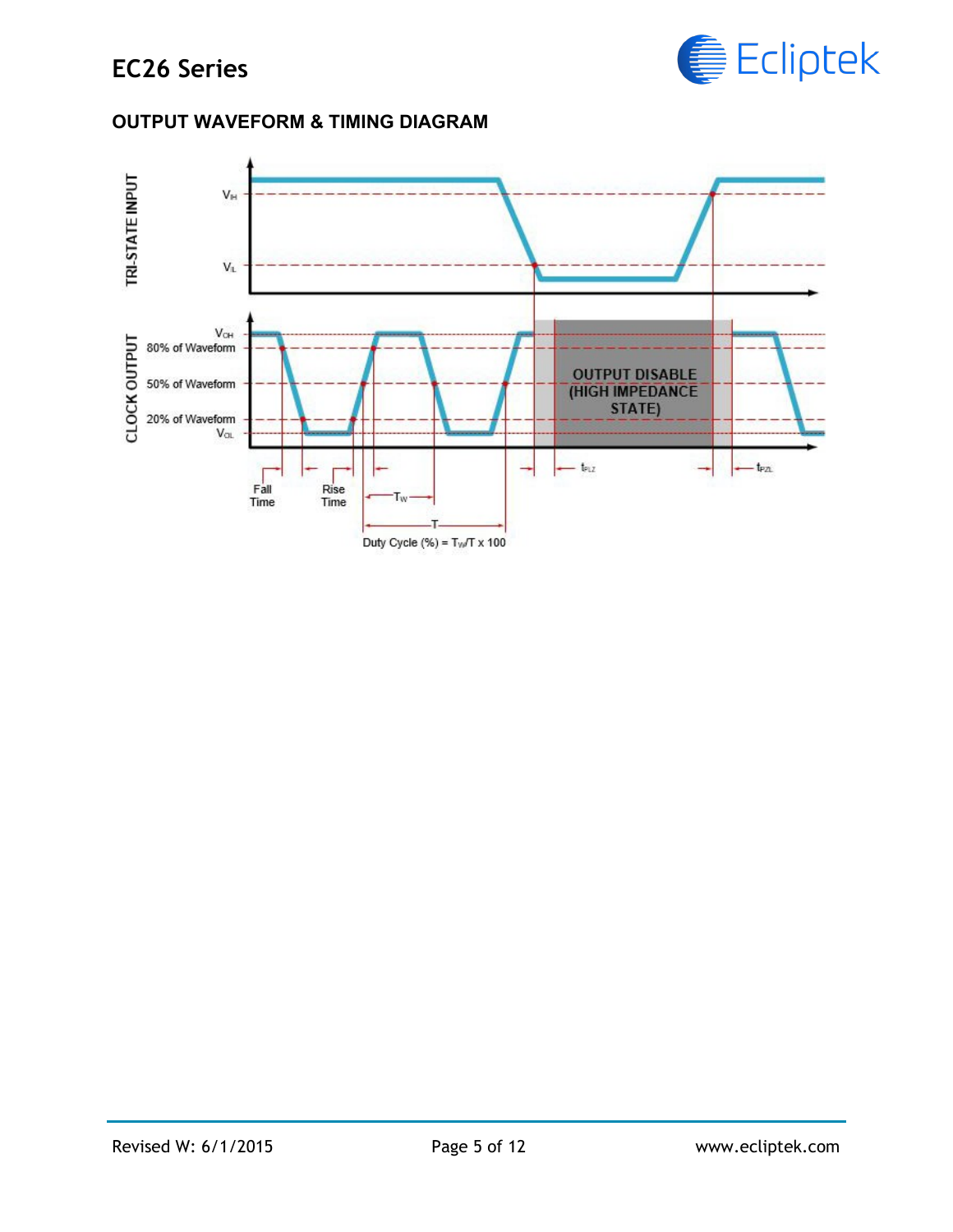

#### **OUTPUT WAVEFORM & TIMING DIAGRAM**

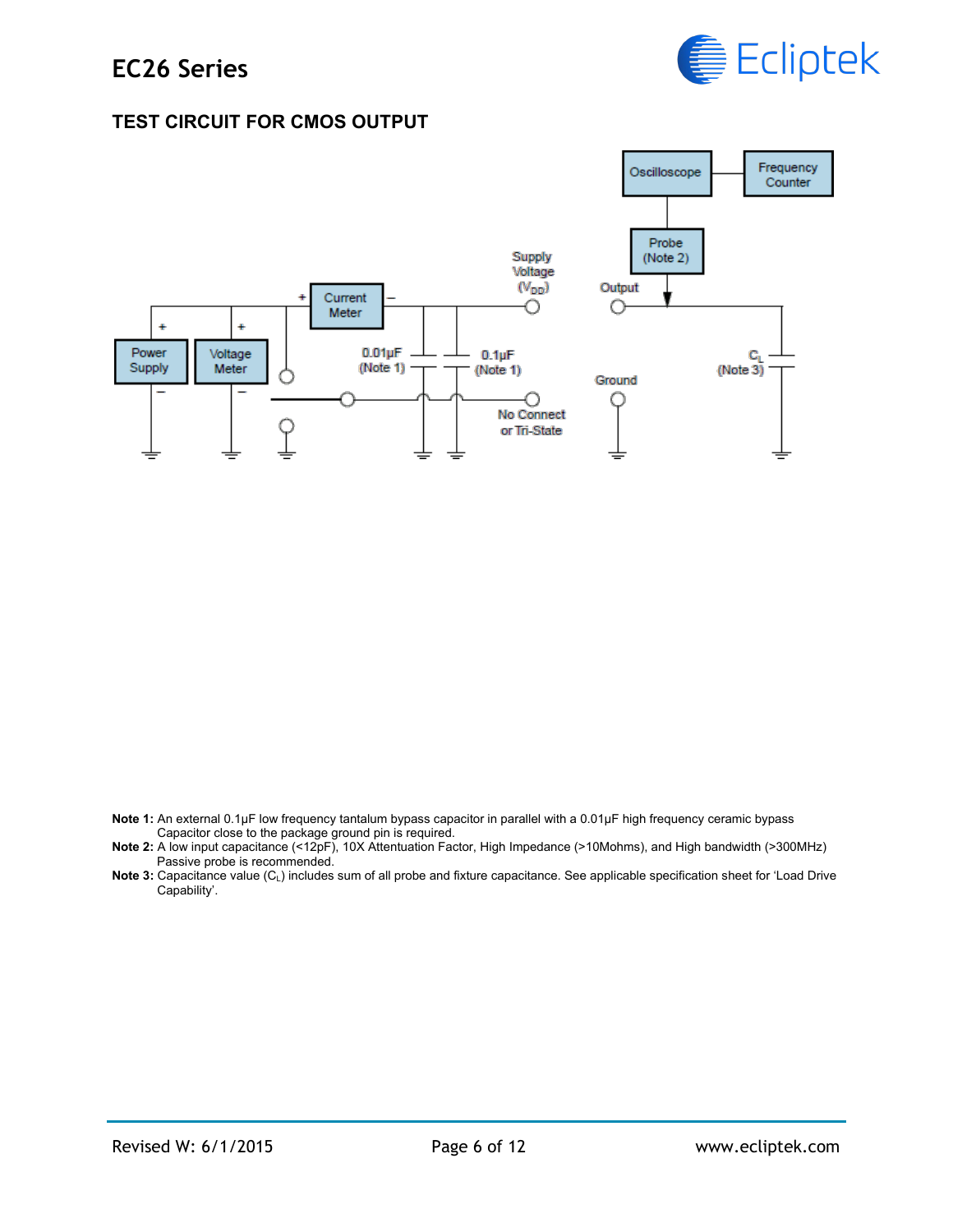

#### **TEST CIRCUIT FOR CMOS OUTPUT**



**Note 1:** An external 0.1µF low frequency tantalum bypass capacitor in parallel with a 0.01µF high frequency ceramic bypass Capacitor close to the package ground pin is required.

**Note 2:** A low input capacitance (<12pF), 10X Attentuation Factor, High Impedance (>10Mohms), and High bandwidth (>300MHz) Passive probe is recommended.

**Note 3:** Capacitance value (C<sub>i</sub>) includes sum of all probe and fixture capacitance. See applicable specification sheet for 'Load Drive Capability'.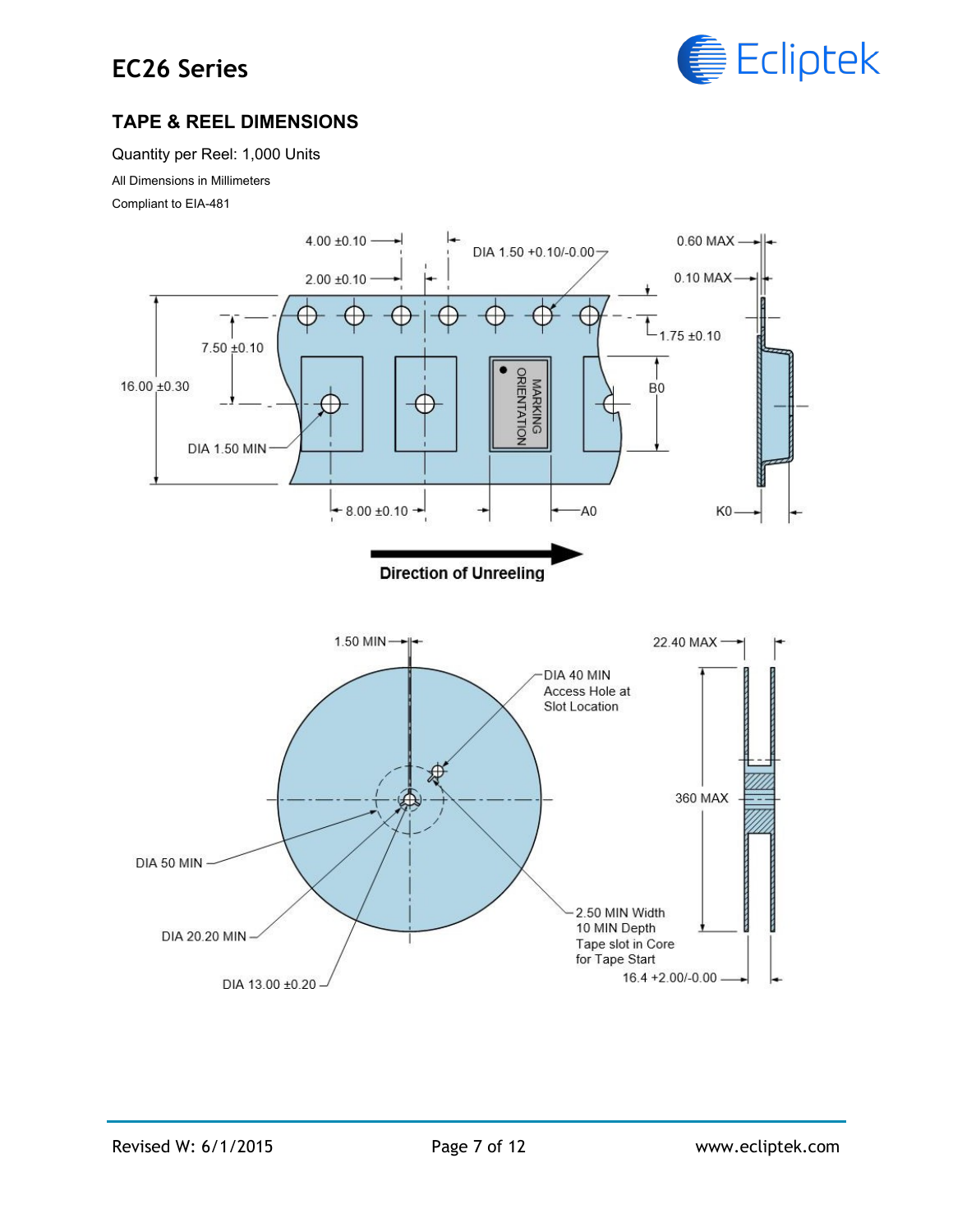## **EC26 Series**



## **TAPE & REEL DIMENSIONS**

Quantity per Reel: 1,000 Units

All Dimensions in Millimeters

Compliant to EIA-481

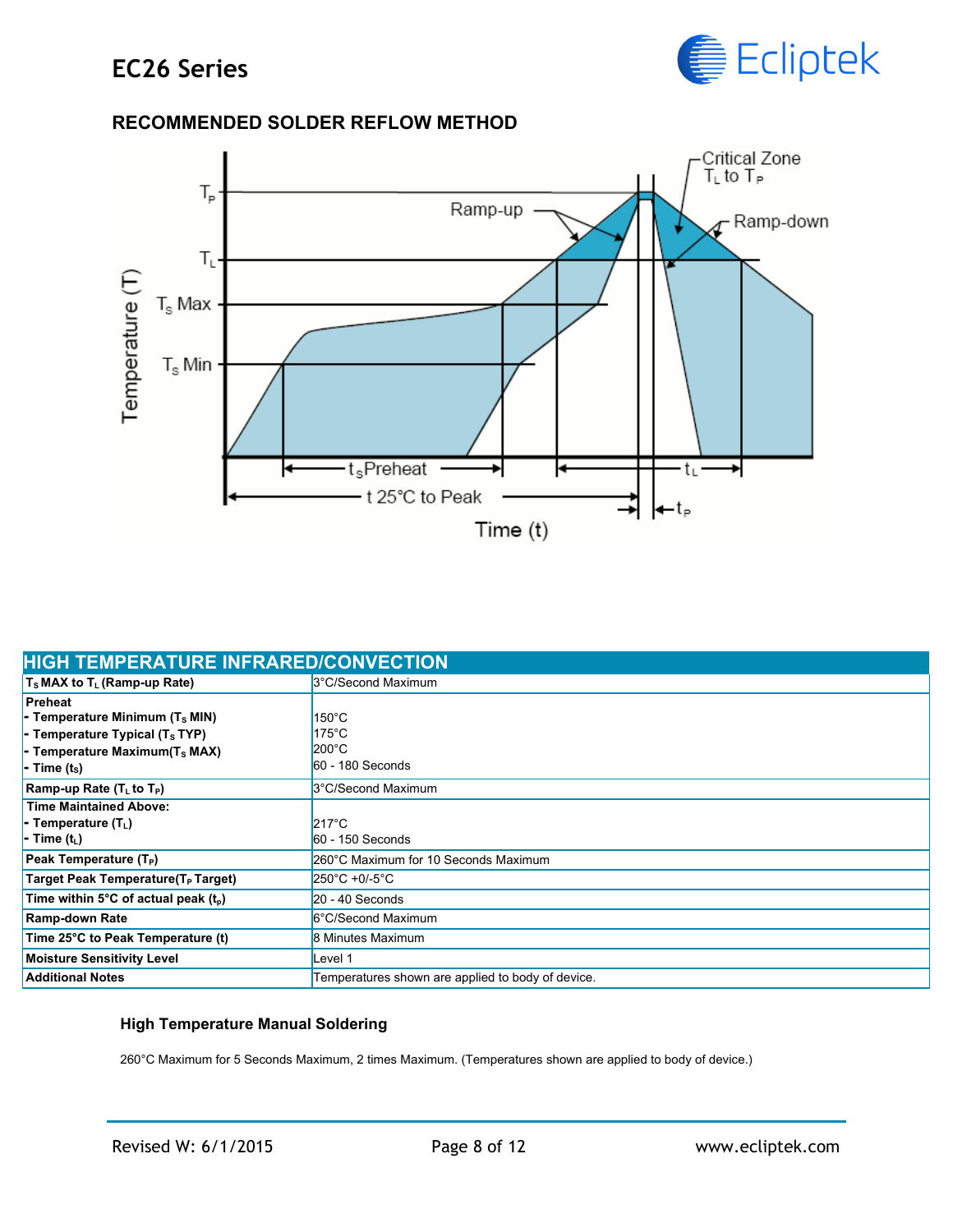

## **RECOMMENDED SOLDER REFLOW METHOD**



| <b>HIGH TEMPERATURE INFRARED/CONVECTION</b>      |                                                   |  |
|--------------------------------------------------|---------------------------------------------------|--|
| $T_s$ MAX to $T_L$ (Ramp-up Rate)                | 3°C/Second Maximum                                |  |
| Preheat                                          |                                                   |  |
| - Temperature Minimum $(T_s$ MIN)                | $150^{\circ}$ C                                   |  |
| - Temperature Typical $(T_s$ TYP)                | $175^{\circ}$ C                                   |  |
| - Temperature Maximum( $T_s$ MAX)                | $200^{\circ}$ C                                   |  |
| $\blacksquare$ - Time (ts)                       | $60 - 180$ Seconds                                |  |
| Ramp-up Rate (T <sub>L</sub> to T <sub>P</sub> ) | 3°C/Second Maximum                                |  |
| <b>Time Maintained Above:</b>                    |                                                   |  |
| - Temperature $(T_1)$                            | $217^{\circ}$ C                                   |  |
| - Time (t <sub>i</sub> )                         | $60 - 150$ Seconds                                |  |
| Peak Temperature (T <sub>P</sub> )               | 260°C Maximum for 10 Seconds Maximum              |  |
| Target Peak Temperature(T <sub>P</sub> Target)   | $250^{\circ}$ C +0/-5 $^{\circ}$ C                |  |
| Time within 5°C of actual peak $(t_0)$           | $20 - 40$ Seconds                                 |  |
| <b>Ramp-down Rate</b>                            | 6°C/Second Maximum                                |  |
| Time 25°C to Peak Temperature (t)                | 8 Minutes Maximum                                 |  |
| <b>Moisture Sensitivity Level</b>                | evel 1ـ                                           |  |
| <b>Additional Notes</b>                          | Temperatures shown are applied to body of device. |  |

#### **High Temperature Manual Soldering**

260°C Maximum for 5 Seconds Maximum, 2 times Maximum. (Temperatures shown are applied to body of device.)